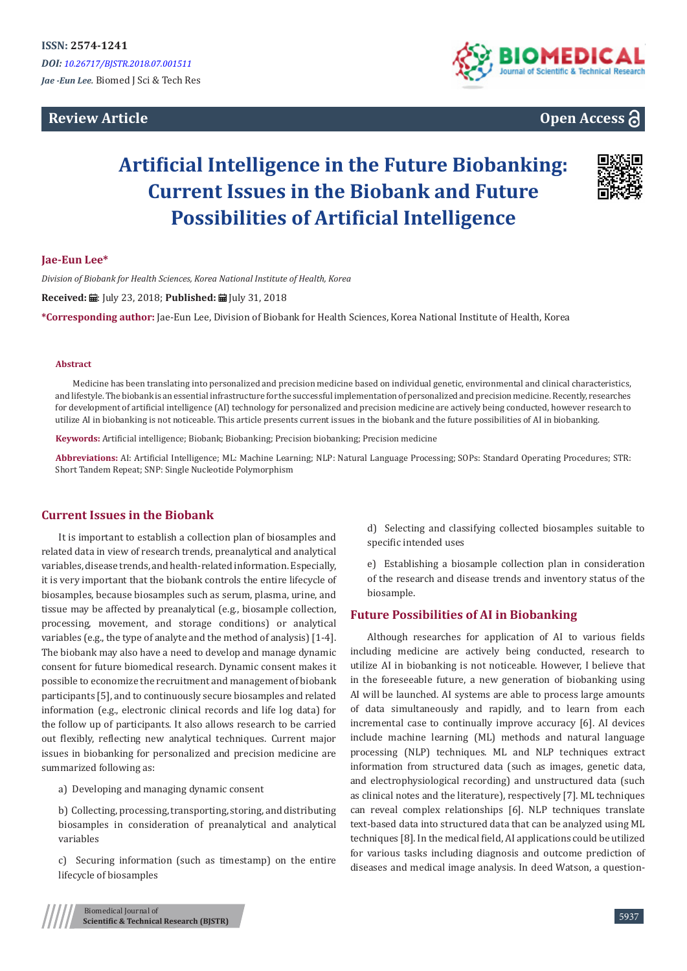# **Review Article**





# **Artificial Intelligence in the Future Biobanking: Current Issues in the Biobank and Future Possibilities of Artificial Intelligence**



### **Jae-Eun Lee\***

*Division of Biobank for Health Sciences, Korea National Institute of Health, Korea*

Received: *a*: July 23, 2018; Published: a July 31, 2018

**\*Corresponding author:** Jae-Eun Lee, Division of Biobank for Health Sciences, Korea National Institute of Health, Korea

#### **Abstract**

Medicine has been translating into personalized and precision medicine based on individual genetic, environmental and clinical characteristics, and lifestyle. The biobank is an essential infrastructure for the successful implementation of personalized and precision medicine. Recently, researches for development of artificial intelligence (AI) technology for personalized and precision medicine are actively being conducted, however research to utilize AI in biobanking is not noticeable. This article presents current issues in the biobank and the future possibilities of AI in biobanking.

**Keywords:** Artificial intelligence; Biobank; Biobanking; Precision biobanking; Precision medicine

**Abbreviations:** AI: Artificial Intelligence; ML: Machine Learning; NLP: Natural Language Processing; SOPs: Standard Operating Procedures; STR: Short Tandem Repeat; SNP: Single Nucleotide Polymorphism

#### **Current Issues in the Biobank**

It is important to establish a collection plan of biosamples and related data in view of research trends, preanalytical and analytical variables, disease trends, and health-related information. Especially, it is very important that the biobank controls the entire lifecycle of biosamples, because biosamples such as serum, plasma, urine, and tissue may be affected by preanalytical (e.g., biosample collection, processing, movement, and storage conditions) or analytical variables (e.g., the type of analyte and the method of analysis) [1-4]. The biobank may also have a need to develop and manage dynamic consent for future biomedical research. Dynamic consent makes it possible to economize the recruitment and management of biobank participants [5], and to continuously secure biosamples and related information (e.g., electronic clinical records and life log data) for the follow up of participants. It also allows research to be carried out flexibly, reflecting new analytical techniques. Current major issues in biobanking for personalized and precision medicine are summarized following as:

a) Developing and managing dynamic consent

b) Collecting, processing, transporting, storing, and distributing biosamples in consideration of preanalytical and analytical variables

c) Securing information (such as timestamp) on the entire lifecycle of biosamples

d) Selecting and classifying collected biosamples suitable to specific intended uses

e) Establishing a biosample collection plan in consideration of the research and disease trends and inventory status of the biosample.

# **Future Possibilities of AI in Biobanking**

Although researches for application of AI to various fields including medicine are actively being conducted, research to utilize AI in biobanking is not noticeable. However, I believe that in the foreseeable future, a new generation of biobanking using AI will be launched. AI systems are able to process large amounts of data simultaneously and rapidly, and to learn from each incremental case to continually improve accuracy [6]. AI devices include machine learning (ML) methods and natural language processing (NLP) techniques. ML and NLP techniques extract information from structured data (such as images, genetic data, and electrophysiological recording) and unstructured data (such as clinical notes and the literature), respectively [7]. ML techniques can reveal complex relationships [6]. NLP techniques translate text-based data into structured data that can be analyzed using ML techniques [8]. In the medical field, AI applications could be utilized for various tasks including diagnosis and outcome prediction of diseases and medical image analysis. In deed Watson, a question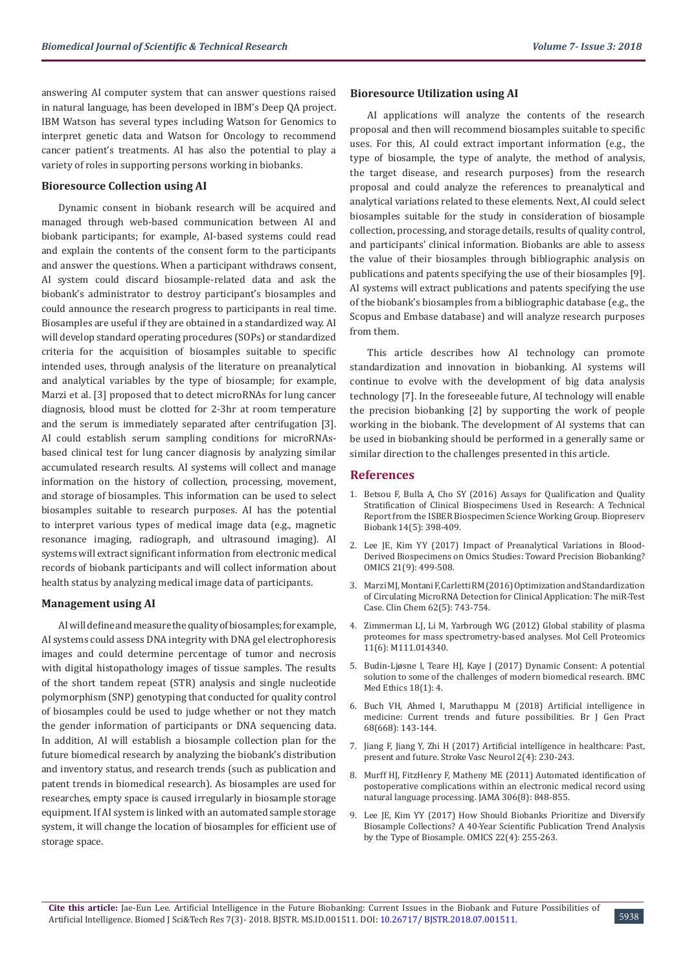answering AI computer system that can answer questions raised in natural language, has been developed in IBM's Deep QA project. IBM Watson has several types including Watson for Genomics to interpret genetic data and Watson for Oncology to recommend cancer patient's treatments. AI has also the potential to play a variety of roles in supporting persons working in biobanks.

#### **Bioresource Collection using AI**

Dynamic consent in biobank research will be acquired and managed through web-based communication between AI and biobank participants; for example, AI-based systems could read and explain the contents of the consent form to the participants and answer the questions. When a participant withdraws consent, AI system could discard biosample-related data and ask the biobank's administrator to destroy participant's biosamples and could announce the research progress to participants in real time. Biosamples are useful if they are obtained in a standardized way. AI will develop standard operating procedures (SOPs) or standardized criteria for the acquisition of biosamples suitable to specific intended uses, through analysis of the literature on preanalytical and analytical variables by the type of biosample; for example, Marzi et al. [3] proposed that to detect microRNAs for lung cancer diagnosis, blood must be clotted for 2-3hr at room temperature and the serum is immediately separated after centrifugation [3]. AI could establish serum sampling conditions for microRNAsbased clinical test for lung cancer diagnosis by analyzing similar accumulated research results. AI systems will collect and manage information on the history of collection, processing, movement, and storage of biosamples. This information can be used to select biosamples suitable to research purposes. AI has the potential to interpret various types of medical image data (e.g., magnetic resonance imaging, radiograph, and ultrasound imaging). AI systems will extract significant information from electronic medical records of biobank participants and will collect information about health status by analyzing medical image data of participants.

#### **Management using AI**

AI will define and measure the quality of biosamples; for example, AI systems could assess DNA integrity with DNA gel electrophoresis images and could determine percentage of tumor and necrosis with digital histopathology images of tissue samples. The results of the short tandem repeat (STR) analysis and single nucleotide polymorphism (SNP) genotyping that conducted for quality control of biosamples could be used to judge whether or not they match the gender information of participants or DNA sequencing data. In addition, AI will establish a biosample collection plan for the future biomedical research by analyzing the biobank's distribution and inventory status, and research trends (such as publication and patent trends in biomedical research). As biosamples are used for researches, empty space is caused irregularly in biosample storage equipment. If AI system is linked with an automated sample storage system, it will change the location of biosamples for efficient use of storage space.

#### **Bioresource Utilization using AI**

AI applications will analyze the contents of the research proposal and then will recommend biosamples suitable to specific uses. For this, AI could extract important information (e.g., the type of biosample, the type of analyte, the method of analysis, the target disease, and research purposes) from the research proposal and could analyze the references to preanalytical and analytical variations related to these elements. Next, AI could select biosamples suitable for the study in consideration of biosample collection, processing, and storage details, results of quality control, and participants' clinical information. Biobanks are able to assess the value of their biosamples through bibliographic analysis on publications and patents specifying the use of their biosamples [9]. AI systems will extract publications and patents specifying the use of the biobank's biosamples from a bibliographic database (e.g., the Scopus and Embase database) and will analyze research purposes from them.

This article describes how AI technology can promote standardization and innovation in biobanking. AI systems will continue to evolve with the development of big data analysis technology [7]. In the foreseeable future, AI technology will enable the precision biobanking [2] by supporting the work of people working in the biobank. The development of AI systems that can be used in biobanking should be performed in a generally same or similar direction to the challenges presented in this article.

#### **References**

- 1. [Betsou F, Bulla A, Cho SY \(2016\) Assays for Qualification and Quality](https://www.ncbi.nlm.nih.gov/pubmed/27046294) [Stratification of Clinical Biospecimens Used in Research: A Technical](https://www.ncbi.nlm.nih.gov/pubmed/27046294) [Report from the ISBER Biospecimen Science Working Group. Biopreserv](https://www.ncbi.nlm.nih.gov/pubmed/27046294) [Biobank 14\(5\): 398-409.](https://www.ncbi.nlm.nih.gov/pubmed/27046294)
- 2. [Lee JE, Kim YY \(2017\) Impact of Preanalytical Variations in Blood-](https://www.ncbi.nlm.nih.gov/pubmed/28873014)[Derived Biospecimens on Omics Studies: Toward Precision Biobanking?](https://www.ncbi.nlm.nih.gov/pubmed/28873014) [OMICS 21\(9\): 499-508.](https://www.ncbi.nlm.nih.gov/pubmed/28873014)
- 3. [Marzi MJ, Montani F, Carletti RM \(2016\) Optimization and Standardization](https://www.ncbi.nlm.nih.gov/pubmed/27127244) [of Circulating MicroRNA Detection for Clinical Application: The miR-Test](https://www.ncbi.nlm.nih.gov/pubmed/27127244) [Case. Clin Chem 62\(5\): 743-754.](https://www.ncbi.nlm.nih.gov/pubmed/27127244)
- 4. [Zimmerman LJ, Li M, Yarbrough WG \(2012\) Global stability of plasma](https://www.ncbi.nlm.nih.gov/pubmed/22301387) [proteomes for mass spectrometry-based analyses. Mol Cell Proteomics](https://www.ncbi.nlm.nih.gov/pubmed/22301387) [11\(6\): M111.014340.](https://www.ncbi.nlm.nih.gov/pubmed/22301387)
- 5. [Budin-Ljøsne I, Teare HJ, Kaye J \(2017\) Dynamic Consent: A potential](https://bmcmedethics.biomedcentral.com/articles/10.1186/s12910-016-0162-9) [solution to some of the challenges of modern biomedical research. BMC](https://bmcmedethics.biomedcentral.com/articles/10.1186/s12910-016-0162-9) [Med Ethics 18\(1\): 4.](https://bmcmedethics.biomedcentral.com/articles/10.1186/s12910-016-0162-9)
- 6. [Buch VH, Ahmed I, Maruthappu M \(2018\) Artificial intelligence in](https://www.ncbi.nlm.nih.gov/pubmed/29472224) [medicine: Current trends and future possibilities. Br J Gen Pract](https://www.ncbi.nlm.nih.gov/pubmed/29472224) [68\(668\): 143-144.](https://www.ncbi.nlm.nih.gov/pubmed/29472224)
- 7. [Jiang F, Jiang Y, Zhi H \(2017\) Artificial intelligence in healthcare: Past,](https://svn.bmj.com/content/early/2017/06/21/svn-2017-000101) [present and future. Stroke Vasc Neurol 2\(4\): 230-243.](https://svn.bmj.com/content/early/2017/06/21/svn-2017-000101)
- 8. [Murff HJ, FitzHenry F, Matheny ME \(2011\) Automated identification of](https://www.ncbi.nlm.nih.gov/pubmed/21862746) [postoperative complications within an electronic medical record using](https://www.ncbi.nlm.nih.gov/pubmed/21862746) [natural language processing. JAMA 306\(8\): 848-855.](https://www.ncbi.nlm.nih.gov/pubmed/21862746)
- 9. [Lee JE, Kim YY \(2017\) How Should Biobanks Prioritize and Diversify](https://www.ncbi.nlm.nih.gov/pubmed/29584577) [Biosample Collections? A 40-Year Scientific Publication Trend Analysis](https://www.ncbi.nlm.nih.gov/pubmed/29584577) [by the Type of Biosample. OMICS 22\(4\): 255-263.](https://www.ncbi.nlm.nih.gov/pubmed/29584577)